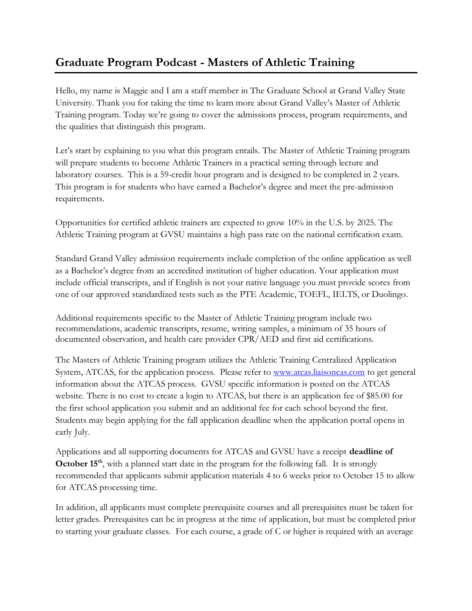## **Graduate Program Podcast - Masters of Athletic Training**

Hello, my name is Maggie and I am a staff member in The Graduate School at Grand Valley State University. Thank you for taking the time to learn more about Grand Valley's Master of Athletic Training program. Today we're going to cover the admissions process, program requirements, and the qualities that distinguish this program.

Let's start by explaining to you what this program entails. The Master of Athletic Training program will prepare students to become Athletic Trainers in a practical setting through lecture and laboratory courses. This is a 59-credit hour program and is designed to be completed in 2 years. This program is for students who have earned a Bachelor's degree and meet the pre-admission requirements.

Opportunities for certified athletic trainers are expected to grow 10% in the U.S. by 2025. The Athletic Training program at GVSU maintains a high pass rate on the national certification exam.

Standard Grand Valley admission requirements include completion of the online application as well as a Bachelor's degree from an accredited institution of higher education. Your application must include official transcripts, and if English is not your native language you must provide scores from one of our approved standardized tests such as the PTE Academic, TOEFL, IELTS, or Duolingo.

Additional requirements specific to the Master of Athletic Training program include two recommendations, academic transcripts, resume, writing samples, a minimum of 35 hours of documented observation, and health care provider CPR/AED and first aid certifications.

The Masters of Athletic Training program utilizes the Athletic Training Centralized Application System, ATCAS, for the application process. Please refer to [www.atcas.liaisoncas.com](http://www.atcas.liaisoncas.com/) to get general information about the ATCAS process. GVSU specific information is posted on the ATCAS website. There is no cost to create a login to ATCAS, but there is an application fee of \$85.00 for the first school application you submit and an additional fee for each school beyond the first. Students may begin applying for the fall application deadline when the application portal opens in early July.

Applications and all supporting documents for ATCAS and GVSU have a receipt **deadline of October 15<sup>th</sup>**, with a planned start date in the program for the following fall. It is strongly recommended that applicants submit application materials 4 to 6 weeks prior to October 15 to allow for ATCAS processing time.

In addition, all applicants must complete prerequisite courses and all prerequisites must be taken for letter grades. Prerequisites can be in progress at the time of application, but must be completed prior to starting your graduate classes. For each course, a grade of C or higher is required with an average